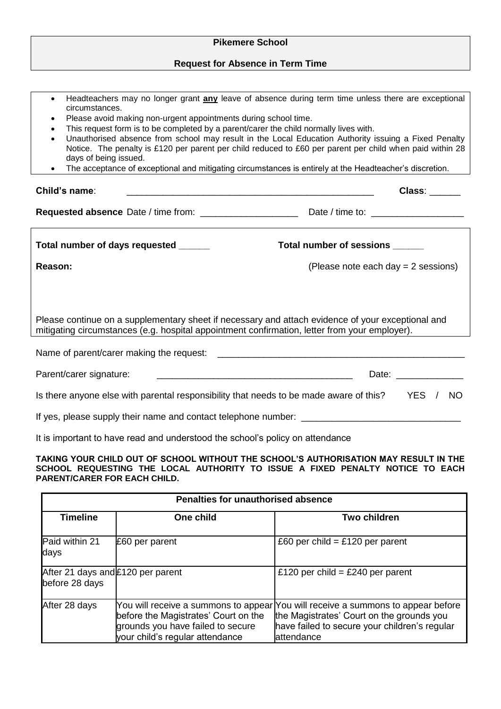| <b>Pikemere School</b>                                                                                                                                                                                                                                                                                                                                                                                                                                                                                                                                                                                                                                              |  |  |  |
|---------------------------------------------------------------------------------------------------------------------------------------------------------------------------------------------------------------------------------------------------------------------------------------------------------------------------------------------------------------------------------------------------------------------------------------------------------------------------------------------------------------------------------------------------------------------------------------------------------------------------------------------------------------------|--|--|--|
| <b>Request for Absence in Term Time</b>                                                                                                                                                                                                                                                                                                                                                                                                                                                                                                                                                                                                                             |  |  |  |
|                                                                                                                                                                                                                                                                                                                                                                                                                                                                                                                                                                                                                                                                     |  |  |  |
| Headteachers may no longer grant any leave of absence during term time unless there are exceptional<br>$\bullet$<br>circumstances.<br>Please avoid making non-urgent appointments during school time.<br>$\bullet$<br>This request form is to be completed by a parent/carer the child normally lives with.<br>Unauthorised absence from school may result in the Local Education Authority issuing a Fixed Penalty<br>Notice. The penalty is £120 per parent per child reduced to £60 per parent per child when paid within 28<br>days of being issued.<br>The acceptance of exceptional and mitigating circumstances is entirely at the Headteacher's discretion. |  |  |  |
| Child's name:<br>Class: Class                                                                                                                                                                                                                                                                                                                                                                                                                                                                                                                                                                                                                                       |  |  |  |
|                                                                                                                                                                                                                                                                                                                                                                                                                                                                                                                                                                                                                                                                     |  |  |  |
| Total number of days requested _____<br>Total number of sessions ______                                                                                                                                                                                                                                                                                                                                                                                                                                                                                                                                                                                             |  |  |  |
| (Please note each day = 2 sessions)<br>Reason:                                                                                                                                                                                                                                                                                                                                                                                                                                                                                                                                                                                                                      |  |  |  |
| Please continue on a supplementary sheet if necessary and attach evidence of your exceptional and<br>mitigating circumstances (e.g. hospital appointment confirmation, letter from your employer).                                                                                                                                                                                                                                                                                                                                                                                                                                                                  |  |  |  |
| Name of parent/carer making the request:                                                                                                                                                                                                                                                                                                                                                                                                                                                                                                                                                                                                                            |  |  |  |
| Parent/carer signature:<br>Date: the contract of the contract of the contract of the contract of the contract of the contract of the contract of the contract of the contract of the contract of the contract of the contract of the contract of the cont                                                                                                                                                                                                                                                                                                                                                                                                           |  |  |  |
| Is there anyone else with parental responsibility that needs to be made aware of this?<br><b>YES</b><br>/ NO                                                                                                                                                                                                                                                                                                                                                                                                                                                                                                                                                        |  |  |  |
|                                                                                                                                                                                                                                                                                                                                                                                                                                                                                                                                                                                                                                                                     |  |  |  |
| It is important to have read and understood the school's policy on attendance                                                                                                                                                                                                                                                                                                                                                                                                                                                                                                                                                                                       |  |  |  |

**TAKING YOUR CHILD OUT OF SCHOOL WITHOUT THE SCHOOL'S AUTHORISATION MAY RESULT IN THE SCHOOL REQUESTING THE LOCAL AUTHORITY TO ISSUE A FIXED PENALTY NOTICE TO EACH PARENT/CARER FOR EACH CHILD.**

| <b>Penalties for unauthorised absence</b>           |                                                                                                              |                                                                                                                                                                                               |  |
|-----------------------------------------------------|--------------------------------------------------------------------------------------------------------------|-----------------------------------------------------------------------------------------------------------------------------------------------------------------------------------------------|--|
| <b>Timeline</b>                                     | One child                                                                                                    | <b>Two children</b>                                                                                                                                                                           |  |
| Paid within 21<br>days                              | £60 per parent                                                                                               | £60 per child = £120 per parent                                                                                                                                                               |  |
| After 21 days and £120 per parent<br>before 28 days |                                                                                                              | £120 per child = £240 per parent                                                                                                                                                              |  |
| After 28 days                                       | before the Magistrates' Court on the<br>grounds you have failed to secure<br>your child's regular attendance | You will receive a summons to appear  You will receive a summons to appear before<br>the Magistrates' Court on the grounds you<br>have failed to secure your children's regular<br>attendance |  |